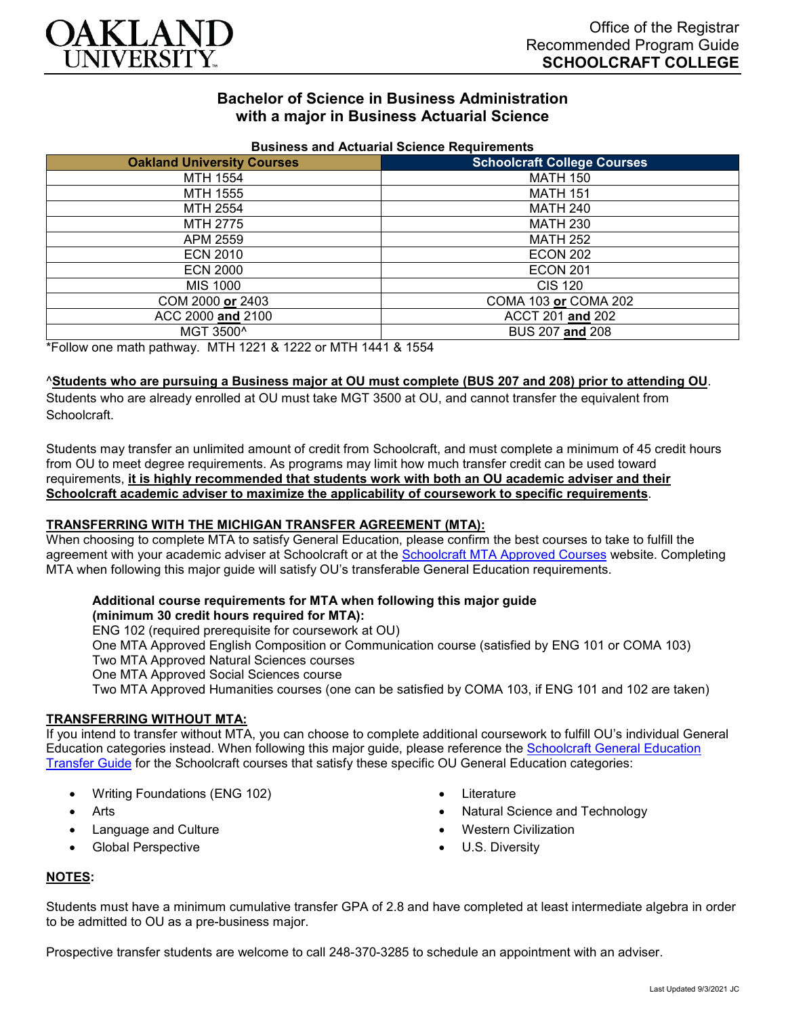

# **Bachelor of Science in Business Administration with a major in Business Actuarial Science**

| <b>DUSTILESS AIRLY ACTUATION OCIETICE INEQUITENTENTS</b> |                                    |
|----------------------------------------------------------|------------------------------------|
| <b>Oakland University Courses</b>                        | <b>Schoolcraft College Courses</b> |
| MTH 1554                                                 | <b>MATH 150</b>                    |
| MTH 1555                                                 | <b>MATH 151</b>                    |
| MTH 2554                                                 | MATH 240                           |
| MTH 2775                                                 | <b>MATH 230</b>                    |
| APM 2559                                                 | <b>MATH 252</b>                    |
| <b>ECN 2010</b>                                          | <b>ECON 202</b>                    |
| <b>ECN 2000</b>                                          | <b>ECON 201</b>                    |
| MIS 1000                                                 | CIS 120                            |
| COM 2000 or 2403                                         | COMA 103 or COMA 202               |
| ACC 2000 and 2100                                        | ACCT 201 and 202                   |
| MGT 3500^                                                | BUS 207 and 208                    |

#### **Business and Actuarial Science Requirements**

\*Follow one math pathway. MTH 1221 & 1222 or MTH 1441 & 1554

### ^**Students who are pursuing a Business major at OU must complete (BUS 207 and 208) prior to attending OU**.

Students who are already enrolled at OU must take MGT 3500 at OU, and cannot transfer the equivalent from Schoolcraft.

Students may transfer an unlimited amount of credit from Schoolcraft, and must complete a minimum of 45 credit hours from OU to meet degree requirements. As programs may limit how much transfer credit can be used toward requirements, **it is highly recommended that students work with both an OU academic adviser and their Schoolcraft academic adviser to maximize the applicability of coursework to specific requirements**.

### **TRANSFERRING WITH THE MICHIGAN TRANSFER AGREEMENT (MTA):**

When choosing to complete MTA to satisfy General Education, please confirm the best courses to take to fulfill the agreement with your academic adviser at Schoolcraft or at the [Schoolcraft MTA Approved Courses](https://www.schoolcraft.edu/academics/michigan-transfer-agreement) website. Completing MTA when following this major guide will satisfy OU's transferable General Education requirements.

# **Additional course requirements for MTA when following this major guide**

## **(minimum 30 credit hours required for MTA):**

ENG 102 (required prerequisite for coursework at OU) One MTA Approved English Composition or Communication course (satisfied by ENG 101 or COMA 103) Two MTA Approved Natural Sciences courses One MTA Approved Social Sciences course Two MTA Approved Humanities courses (one can be satisfied by COMA 103, if ENG 101 and 102 are taken)

### **TRANSFERRING WITHOUT MTA:**

If you intend to transfer without MTA, you can choose to complete additional coursework to fulfill OU's individual General Education categories instead. When following this major guide, please reference the [Schoolcraft General Education](https://www.oakland.edu/Assets/Oakland/program-guides/schoolcraft-college/university-general-education-requirements/Schoolcraft%20Gen%20Ed.pdf)  [Transfer Guide](https://www.oakland.edu/Assets/Oakland/program-guides/schoolcraft-college/university-general-education-requirements/Schoolcraft%20Gen%20Ed.pdf) for the Schoolcraft courses that satisfy these specific OU General Education categories:

- Writing Foundations (ENG 102)
- **Arts**
- Language and Culture
- Global Perspective
- Literature
- Natural Science and Technology
- Western Civilization
- U.S. Diversity

### **NOTES:**

Students must have a minimum cumulative transfer GPA of 2.8 and have completed at least intermediate algebra in order to be admitted to OU as a pre-business major.

Prospective transfer students are welcome to call 248-370-3285 to schedule an appointment with an adviser.